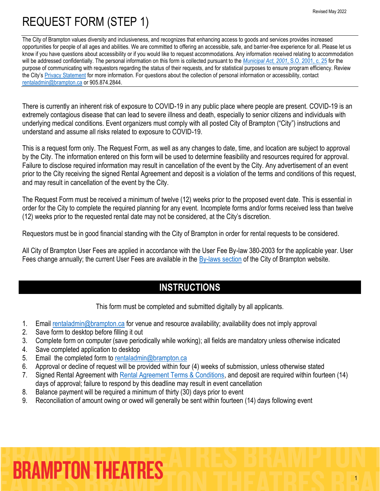The City of Brampton values diversity and inclusiveness, and recognizes that enhancing access to goods and services provides increased opportunities for people of all ages and abilities. We are committed to offering an accessible, safe, and barrier-free experience for all. Please let us know if you have questions about accessibility or if you would like to request accommodations. Any information received relating to accommodation will be addressed confidentially. The personal information on this form is collected pursuant to the *[Municipal Act, 2001](https://www.ontario.ca/laws/statute/01m25)*, S.O. 2001, c. 25 for the purpose of communicating with requestors regarding the status of their requests, and for statistical purposes to ensure program efficiency. Review the City's [Privacy Statement](http://www.brampton.ca/en/Info-Centre/Pages/Privacy-Statement.aspx) for more information. For questions about the collection of personal information or accessibility, contact [rentaladmin@brampton.ca](mailto:rentaladmin@brampton.ca) or 905.874.2844.

There is currently an inherent risk of exposure to COVID-19 in any public place where people are present. COVID-19 is an extremely contagious disease that can lead to severe illness and death, especially to senior citizens and individuals with underlying medical conditions. Event organizers must comply with all posted City of Brampton ("City") instructions and understand and assume all risks related to exposure to COVID-19.

This is a request form only. The Request Form, as well as any changes to date, time, and location are subject to approval by the City. The information entered on this form will be used to determine feasibility and resources required for approval. Failure to disclose required information may result in cancellation of the event by the City. Any advertisement of an event prior to the City receiving the signed Rental Agreement and deposit is a violation of the terms and conditions of this request, and may result in cancellation of the event by the City.

The Request Form must be received a minimum of twelve (12) weeks prior to the proposed event date. This is essential in order for the City to complete the required planning for any event. Incomplete forms and/or forms received less than twelve (12) weeks prior to the requested rental date may not be considered, at the City's discretion.

Requestors must be in good financial standing with the City of Brampton in order for rental requests to be considered.

All City of Brampton User Fees are applied in accordance with the User Fee By-law 380-2003 for the applicable year. User Fees change annually; the current User Fees are available in the [By-laws section](http://www.brampton.ca/EN/City-Hall/Bylaws/Pages/Welcome.aspx) of the City of Brampton website.

## **INSTRUCTIONS**

This form must be completed and submitted digitally by all applicants.

- 1. Email [rentaladmin@brampton.ca](mailto:rentaladmin@brampton.ca) for venue and resource availability; availability does not imply approval
- 2. Save form to desktop before filling it out
- 3. Complete form on computer (save periodically while working); all fields are mandatory unless otherwise indicated
- 4. Save completed application to desktop
- 5. Email the completed form to [rentaladmin@brampton.ca](mailto:rentaladmin@brampton.ca)
- 6. Approval or decline of request will be provided within four (4) weeks of submission, unless otherwise stated
- 7. Signed Rental Agreement with [Rental Agreement Terms & Conditions,](https://tickets.brampton.ca/content/Files/Marketing/Commercial%20Ops/PA_RentalAgreement_TermsConditions.pdf) and deposit are required within fourteen (14) days of approval; failure to respond by this deadline may result in event cancellation
- 8. Balance payment will be required a minimum of thirty (30) days prior to event
- 9. Reconciliation of amount owing or owed will generally be sent within fourteen (14) days following event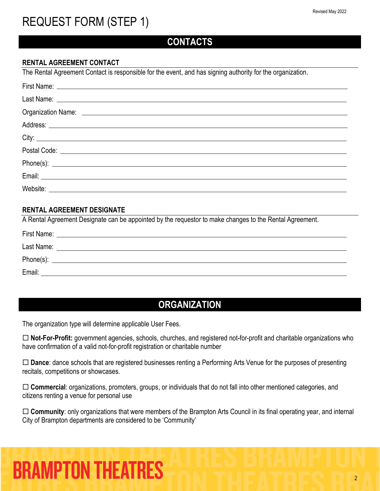### **CONTACTS**

#### **RENTAL AGREEMENT CONTACT**

The Rental Agreement Contact is responsible for the event, and has signing authority for the organization.

#### **RENTAL AGREEMENT DESIGNATE**

A Rental Agreement Designate can be appointed by the requestor to make changes to the Rental Agreement.

| First Name: |  |
|-------------|--|
| Last Name:  |  |
| Phone(s):   |  |
| Email:      |  |

## **ORGANIZATION**

The organization type will determine applicable User Fees.

 **Not-For-Profit:** government agencies, schools, churches, and registered not-for-profit and charitable organizations who have confirmation of a valid not-for-profit registration or charitable number

 **Dance**: dance schools that are registered businesses renting a Performing Arts Venue for the purposes of presenting recitals, competitions or showcases.

 **Commercial**: organizations, promoters, groups, or individuals that do not fall into other mentioned categories, and citizens renting a venue for personal use

 **Community**: only organizations that were members of the Brampton Arts Council in its final operating year, and internal City of Brampton departments are considered to be 'Community'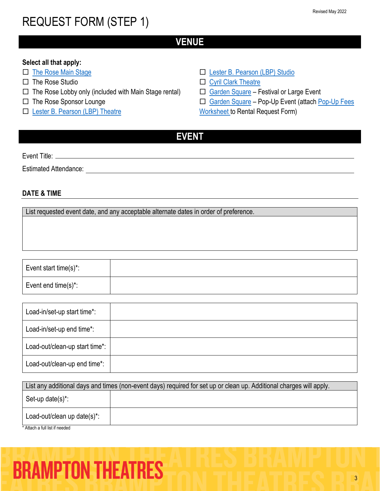### **VENUE**

#### **Select all that apply:**

- □ [The Rose Main Stage](https://tickets.brampton.ca/Online/default.asp?BOparam::WScontent::loadArticle::permalink=RentTheRose&BOparam::WScontent::loadArticle::context_id=)
- $\Pi$  The Rose Studio
- $\Box$  The Rose Lobby only (included with Main Stage rental)
- □ The Rose Sponsor Lounge
- □ [Lester B. Pearson \(LBP\) Theatre](https://www.brampton.ca/EN/Arts-Culture-Tourism/Performing-Arts/LBP/Pages/Rent-LBP.aspx)
- □ [Lester B. Pearson \(LBP\) Studio](https://www.brampton.ca/EN/Arts-Culture-Tourism/Performing-Arts/LBP/Pages/Rent-LBP.aspx)
- [Cyril Clark Theatre](https://www.brampton.ca/EN/Arts-Culture-Tourism/Performing-Arts/Cyril-Clark/Pages/Rent-Cyril-Clark.aspx)
- □ [Garden Square](https://www.brampton.ca/EN/Arts-Culture-Tourism/garden-square/Pages/Book-the-Square.aspx) Festival or Large Event
- □ [Garden Square](https://www.brampton.ca/EN/Arts-Culture-Tourism/garden-square/Pages/Book-the-Square.aspx) Pop-Up Event (attach Pop-Up Fees
- [Worksheet](https://www.brampton.ca/EN/Arts-Culture-Tourism/garden-square/Pages/Book-the-Square.aspx) to Rental Request Form)

### **EVENT**

Event Title:

Estimated Attendance: \_\_\_\_\_\_\_\_\_

#### **DATE & TIME**

List requested event date, and any acceptable alternate dates in order of preference.

Event start time(s)\*: Event end time(s)\*:

| Load-in/set-up start time*:    |  |
|--------------------------------|--|
| Load-in/set-up end time*:      |  |
| Load-out/clean-up start time*: |  |
| Load-out/clean-up end time*:   |  |

| List any additional days and times (non-event days) required for set up or clean up. Additional charges will apply. |  |  |  |
|---------------------------------------------------------------------------------------------------------------------|--|--|--|
| Set-up date(s)*:                                                                                                    |  |  |  |
| Load-out/clean up date(s)*:                                                                                         |  |  |  |
| * Attach a full list if needed                                                                                      |  |  |  |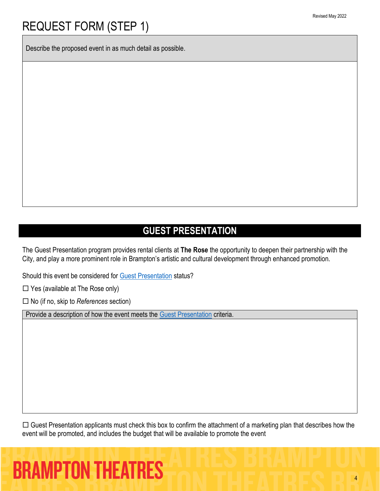Describe the proposed event in as much detail as possible.

### **GUEST PRESENTATION**

The Guest Presentation program provides rental clients at **The Rose** the opportunity to deepen their partnership with the City, and play a more prominent role in Brampton's artistic and cultural development through enhanced promotion.

Should this event be considered for [Guest Presentation](https://tickets.brampton.ca/content/Files/Marketing/BramptonTheatres_Guidelines_GuestPresentation.pdf) status?

 $\Box$  Yes (available at The Rose only)

No (if no, skip to *References* section)

Provide a description of how the event meets the [Guest Presentation](https://tickets.brampton.ca/content/Files/Marketing/BramptonTheatres_Guidelines_GuestPresentation.pdf) criteria.

 $\Box$  Guest Presentation applicants must check this box to confirm the attachment of a marketing plan that describes how the event will be promoted, and includes the budget that will be available to promote the event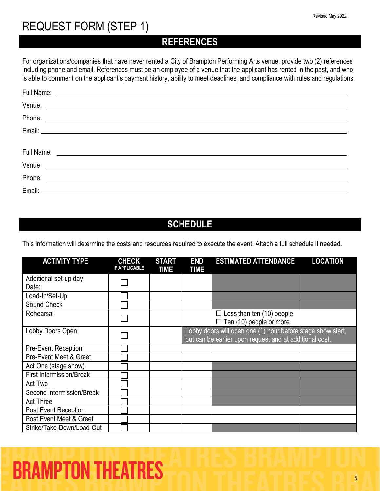### **REFERENCES**

For organizations/companies that have never rented a City of Brampton Performing Arts venue, provide two (2) references including phone and email. References must be an employee of a venue that the applicant has rented in the past, and who is able to comment on the applicant's payment history, ability to meet deadlines, and compliance with rules and regulations.

| Venue: <u>example and the set of the set of the set of the set of the set of the set of the set of the set of the set of the set of the set of the set of the set of the set of the set of the set of the set of the set of the </u> |  |
|--------------------------------------------------------------------------------------------------------------------------------------------------------------------------------------------------------------------------------------|--|
| Phone: <u>with the contract of the contract of the contract of the contract of the contract of the contract of the contract of the contract of the contract of the contract of the contract of the contract of the contract of t</u> |  |
|                                                                                                                                                                                                                                      |  |
|                                                                                                                                                                                                                                      |  |
| Full Name: <u>Contract Communications</u> and the set of the set of the set of the set of the set of the set of the set of the set of the set of the set of the set of the set of the set of the set of the set of the set of the s  |  |
|                                                                                                                                                                                                                                      |  |
|                                                                                                                                                                                                                                      |  |
| Email: Lawrence and the contract of the contract of the contract of the contract of the contract of the contract of                                                                                                                  |  |

## **SCHEDULE**

This information will determine the costs and resources required to execute the event. Attach a full schedule if needed.

| <b>ACTIVITY TYPE</b>            | <b>CHECK</b><br><b>IF APPLICABLE</b> | <b>START</b><br><b>TIME</b> | <b>END</b><br><b>TIME</b> | <b>ESTIMATED ATTENDANCE</b>                                                                                            | <b>LOCATION</b> |
|---------------------------------|--------------------------------------|-----------------------------|---------------------------|------------------------------------------------------------------------------------------------------------------------|-----------------|
| Additional set-up day<br>Date:  |                                      |                             |                           |                                                                                                                        |                 |
| Load-In/Set-Up                  |                                      |                             |                           |                                                                                                                        |                 |
| Sound Check                     |                                      |                             |                           |                                                                                                                        |                 |
| Rehearsal                       |                                      |                             |                           | $\Box$ Less than ten (10) people<br>$\Box$ Ten (10) people or more                                                     |                 |
| Lobby Doors Open                |                                      |                             |                           | Lobby doors will open one (1) hour before stage show start,<br>but can be earlier upon request and at additional cost. |                 |
| <b>Pre-Event Reception</b>      |                                      |                             |                           |                                                                                                                        |                 |
| Pre-Event Meet & Greet          |                                      |                             |                           |                                                                                                                        |                 |
| Act One (stage show)            |                                      |                             |                           |                                                                                                                        |                 |
| <b>First Intermission/Break</b> |                                      |                             |                           |                                                                                                                        |                 |
| Act Two                         |                                      |                             |                           |                                                                                                                        |                 |
| Second Intermission/Break       |                                      |                             |                           |                                                                                                                        |                 |
| <b>Act Three</b>                |                                      |                             |                           |                                                                                                                        |                 |
| Post Event Reception            |                                      |                             |                           |                                                                                                                        |                 |
| Post Event Meet & Greet         |                                      |                             |                           |                                                                                                                        |                 |
| Strike/Take-Down/Load-Out       |                                      |                             |                           |                                                                                                                        |                 |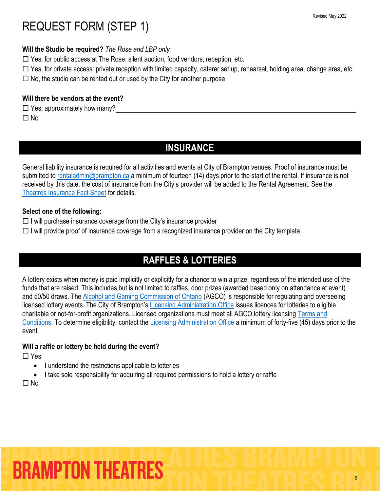#### **Will the Studio be required?** *The Rose and LBP only*

 $\Box$  Yes, for public access at The Rose: silent auction, food vendors, reception, etc.

 $\Box$  Yes, for private access: private reception with limited capacity, caterer set up, rehearsal, holding area, change area, etc.

 $\Box$  No, the studio can be rented out or used by the City for another purpose

#### **Will there be vendors at the event?**

 $\Box$  Yes; approximately how many?  $\Box$  No

## **INSURANCE**

General liability insurance is required for all activities and events at City of Brampton venues. Proof of insurance must be submitted to [rentaladmin@brampton.ca](mailto:rentaladmin@brampton.ca) a minimum of fourteen (14) days prior to the start of the rental. If insurance is not received by this date, the cost of insurance from the City's provider will be added to the Rental Agreement. See the [Theatres Insurance Fact Sheet](https://tickets.brampton.ca/content/Files/Marketing/THEATRES_Insurance_FactSheet.pdf) for details.

#### **Select one of the following:**

- $\Box$  I will purchase insurance coverage from the City's insurance provider
- $\Box$  I will provide proof of insurance coverage from a recognized insurance provider on the City template

## **RAFFLES & LOTTERIES**

A lottery exists when money is paid implicitly or explicitly for a chance to win a prize, regardless of the intended use of the funds that are raised. This includes but is not limited to raffles, door prizes (awarded based only on attendance at event) and 50/50 draws. The [Alcohol and Gaming Commission of Ontario](https://www.agco.ca/) (AGCO) is responsible for regulating and overseeing licensed lottery events. The City of Brampton's [Licensing Administration Office](https://www.brampton.ca/EN/Business/Licensing/Pages/Lottery-Licensing.aspx) issues licences for lotteries to eligible charitable or not-for-profit organizations. Licensed organizations must meet all AGCO lottery licensing [Terms and](https://www.agco.ca/lottery-and-gaming/terms-and-conditions-charitable-lottery-licensing)  [Conditions.](https://www.agco.ca/lottery-and-gaming/terms-and-conditions-charitable-lottery-licensing) To determine eligibility, contact the [Licensing Administration Office](https://www.brampton.ca/EN/Business/Licensing/Pages/Lottery-Licensing.aspx) a minimum of forty-five (45) days prior to the event.

#### **Will a raffle or lottery be held during the event?**

 $\Box$  Yes

- I understand the restrictions applicable to lotteries
- I take sole responsibility for acquiring all required permissions to hold a lottery or raffle

 $\Box$  No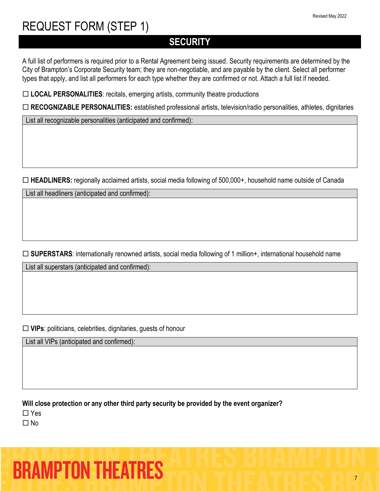## **SECURITY**

A full list of performers is required prior to a Rental Agreement being issued. Security requirements are determined by the City of Brampton's Corporate Security team; they are non-negotiable, and are payable by the client. Select all performer types that apply, and list all performers for each type whether they are confirmed or not. Attach a full list if needed.

**LOCAL PERSONALITIES**: recitals, emerging artists, community theatre productions

**RECOGNIZABLE PERSONALITIES:** established professional artists, television/radio personalities, athletes, dignitaries

List all recognizable personalities (anticipated and confirmed):

**HEADLINERS:** regionally acclaimed artists, social media following of 500,000+, household name outside of Canada

List all headliners (anticipated and confirmed):

□ **SUPERSTARS**: internationally renowned artists, social media following of 1 million+, international household name

List all superstars (anticipated and confirmed):

**VIPs**: politicians, celebrities, dignitaries, guests of honour

List all VIPs (anticipated and confirmed):

**Will close protection or any other third party security be provided by the event organizer?**

□ Yes

 $\Box$  No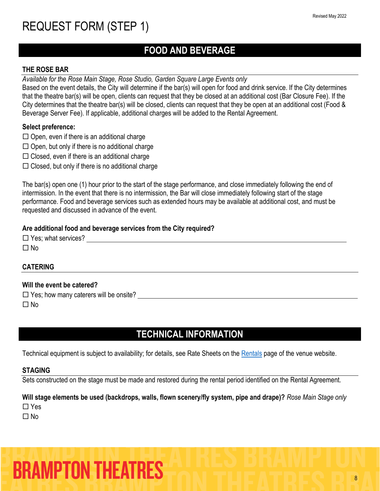## **FOOD AND BEVERAGE**

#### **THE ROSE BAR**

*Available for the Rose Main Stage, Rose Studio, Garden Square Large Events only*

Based on the event details, the City will determine if the bar(s) will open for food and drink service. If the City determines that the theatre bar(s) will be open, clients can request that they be closed at an additional cost (Bar Closure Fee). If the City determines that the theatre bar(s) will be closed, clients can request that they be open at an additional cost (Food & Beverage Server Fee). If applicable, additional charges will be added to the Rental Agreement.

#### **Select preference:**

- $\Box$  Open, even if there is an additional charge
- $\Box$  Open, but only if there is no additional charge
- $\Box$  Closed, even if there is an additional charge
- $\Box$  Closed, but only if there is no additional charge

The bar(s) open one (1) hour prior to the start of the stage performance, and close immediately following the end of intermission. In the event that there is no intermission, the Bar will close immediately following start of the stage performance. Food and beverage services such as extended hours may be available at additional cost, and must be requested and discussed in advance of the event.

#### **Are additional food and beverage services from the City required?**

| $\Box$ Yes; what services? |  |  |
|----------------------------|--|--|
| $\square$ No               |  |  |
|                            |  |  |

#### **CATERING**

#### **Will the event be catered?**

 $\square$  Yes; how many caterers will be onsite?

 $\Box$  No

### **TECHNICAL INFORMATION**

Technical equipment is subject to availability; for details, see Rate Sheets on the [Rentals](https://tickets.brampton.ca/Online/default.asp?BOparam::WScontent::loadArticle::permalink=RentTheRose&BOparam::WScontent::loadArticle::context_id=) page of the venue website.

#### **STAGING**

Sets constructed on the stage must be made and restored during the rental period identified on the Rental Agreement.

#### **Will stage elements be used (backdrops, walls, flown scenery/fly system, pipe and drape)?** *Rose Main Stage only*

□ Yes

 $\Box$  No

**BRAMPTON THEATRES**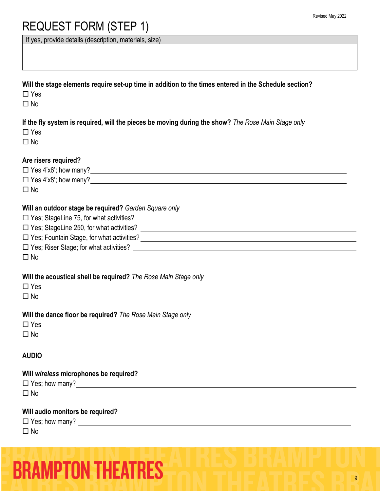If yes, provide details (description, materials, size)

| Will the stage elements require set-up time in addition to the times entered in the Schedule section? |  |
|-------------------------------------------------------------------------------------------------------|--|
|-------------------------------------------------------------------------------------------------------|--|

□ Yes

 $\Box$  No

**If the fly system is required, will the pieces be moving during the show?** *The Rose Main Stage only*

 $\square$  No

#### **Are risers required?**

 Yes 4'x6'; how many?  $\Box$  Yes 4'x8'; how many?

 $\Box$  No

#### **Will an outdoor stage be required?** *Garden Square only*

| $\Box$ Yes; StageLine 75, for what activities? |
|------------------------------------------------|
|------------------------------------------------|

Yes; StageLine 250, for what activities?

Yes; Fountain Stage, for what activities?

Yes; Riser Stage; for what activities?

 $\Box$  No

#### **Will the acoustical shell be required?** *The Rose Main Stage only*

□ Yes

 $\Box$ No

**Will the dance floor be required?** *The Rose Main Stage only*

 $\square$  No

#### **AUDIO**

**Will** *wireless* **microphones be required?**

 $\Box$  Yes; how many?

 $\Box$  No

#### **Will audio monitors be required?**

|           | $\Box$ Yes; how many? |  |
|-----------|-----------------------|--|
| $\Box$ No |                       |  |

|  | <b>BRAMPTON THEATRES</b> |  |
|--|--------------------------|--|
|  |                          |  |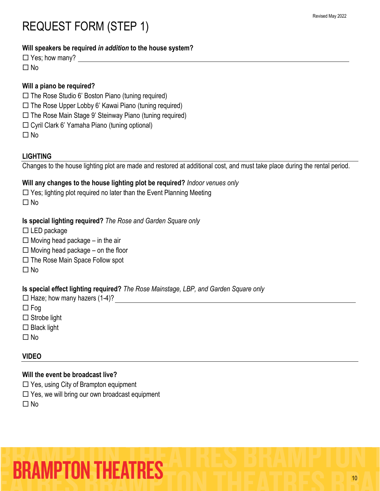#### **Will speakers be required** *in addition* **to the house system?**

 $\Box$  Yes; how many?

 $\Box$  No

#### **Will a piano be required?**

- $\square$  The Rose Studio 6' Boston Piano (tuning required)
- $\Box$  The Rose Upper Lobby 6' Kawai Piano (tuning required)
- $\Box$  The Rose Main Stage 9' Steinway Piano (tuning required)
- Cyril Clark 6' Yamaha Piano (tuning optional)

 $\square$  No

#### **LIGHTING**

Changes to the house lighting plot are made and restored at additional cost, and must take place during the rental period.

#### **Will any changes to the house lighting plot be required?** *Indoor venues only*

 $\Box$  Yes; lighting plot required no later than the Event Planning Meeting

 $\Box$  No

#### **Is special lighting required?** *The Rose and Garden Square only*

- $\square$  LED package
- $\Box$  Moving head package in the air
- $\Box$  Moving head package on the floor
- $\Box$  The Rose Main Space Follow spot
- $\square$  No

#### **Is special effect lighting required?** *The Rose Mainstage, LBP, and Garden Square only*

 $\Box$  Haze; how many hazers (1-4)?

- $\Box$  Fog
- $\square$  Strobe light
- $\square$  Black light
- $\Box$ No

#### **VIDEO**

#### **Will the event be broadcast live?**

- $\Box$  Yes, using City of Brampton equipment
- $\square$  Yes, we will bring our own broadcast equipment
- $\Box$ No